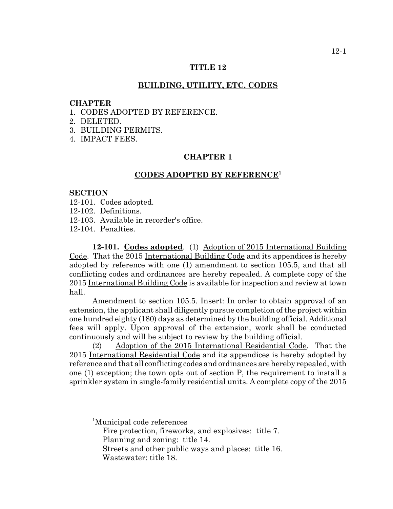#### **TITLE 12**

#### **BUILDING, UTILITY, ETC. CODES**

#### **CHAPTER**

- 1. CODES ADOPTED BY REFERENCE.
- 2. DELETED.
- 3. BUILDING PERMITS.
- 4. IMPACT FEES.

#### **CHAPTER 1**

#### **CODES ADOPTED BY REFERENCE<sup>1</sup>**

#### **SECTION**

- 12-101. Codes adopted.
- 12-102. Definitions.
- 12-103. Available in recorder's office.
- 12-104. Penalties.

**12-101. Codes adopted**. (1) Adoption of 2015 International Building Code. That the 2015 International Building Code and its appendices is hereby adopted by reference with one (1) amendment to section 105.5, and that all conflicting codes and ordinances are hereby repealed. A complete copy of the 2015 International Building Code is available for inspection and review at town hall.

Amendment to section 105.5. Insert: In order to obtain approval of an extension, the applicant shall diligently pursue completion of the project within one hundred eighty (180) days as determined by the building official. Additional fees will apply. Upon approval of the extension, work shall be conducted continuously and will be subject to review by the building official.

(2) Adoption of the 2015 International Residential Code. That the 2015 International Residential Code and its appendices is hereby adopted by reference and that all conflicting codes and ordinances are hereby repealed, with one (1) exception; the town opts out of section P, the requirement to install a sprinkler system in single-family residential units. A complete copy of the 2015

<sup>1</sup> Municipal code references

Fire protection, fireworks, and explosives: title 7. Planning and zoning: title 14.

Streets and other public ways and places: title 16. Wastewater: title 18.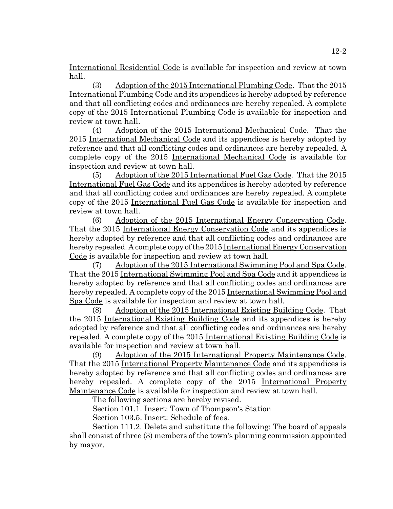International Residential Code is available for inspection and review at town hall.

(3) Adoption of the 2015 International Plumbing Code. That the 2015 International Plumbing Code and its appendices is hereby adopted by reference and that all conflicting codes and ordinances are hereby repealed. A complete copy of the 2015 International Plumbing Code is available for inspection and review at town hall.

(4) Adoption of the 2015 International Mechanical Code. That the 2015 International Mechanical Code and its appendices is hereby adopted by reference and that all conflicting codes and ordinances are hereby repealed. A complete copy of the 2015 International Mechanical Code is available for inspection and review at town hall.

(5) Adoption of the 2015 International Fuel Gas Code. That the 2015 International Fuel Gas Code and its appendices is hereby adopted by reference and that all conflicting codes and ordinances are hereby repealed. A complete copy of the 2015 International Fuel Gas Code is available for inspection and review at town hall.

(6) Adoption of the 2015 International Energy Conservation Code. That the 2015 International Energy Conservation Code and its appendices is hereby adopted by reference and that all conflicting codes and ordinances are hereby repealed. A complete copy of the 2015 International Energy Conservation Code is available for inspection and review at town hall.

(7) Adoption of the 2015 International Swimming Pool and Spa Code. That the 2015 International Swimming Pool and Spa Code and it appendices is hereby adopted by reference and that all conflicting codes and ordinances are hereby repealed. A complete copy of the 2015 International Swimming Pool and Spa Code is available for inspection and review at town hall.

(8) Adoption of the 2015 International Existing Building Code. That the 2015 International Existing Building Code and its appendices is hereby adopted by reference and that all conflicting codes and ordinances are hereby repealed. A complete copy of the 2015 International Existing Building Code is available for inspection and review at town hall.

(9) Adoption of the 2015 International Property Maintenance Code. That the 2015 International Property Maintenance Code and its appendices is hereby adopted by reference and that all conflicting codes and ordinances are hereby repealed. A complete copy of the 2015 International Property Maintenance Code is available for inspection and review at town hall.

The following sections are hereby revised.

Section 101.1. Insert: Town of Thompson's Station

Section 103.5. Insert: Schedule of fees.

Section 111.2. Delete and substitute the following: The board of appeals shall consist of three (3) members of the town's planning commission appointed by mayor.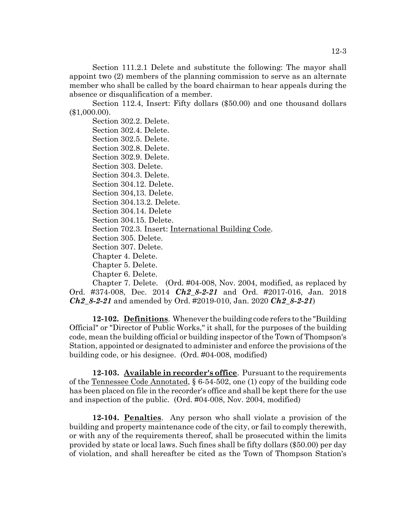Section 111.2.1 Delete and substitute the following: The mayor shall appoint two (2) members of the planning commission to serve as an alternate member who shall be called by the board chairman to hear appeals during the absence or disqualification of a member.

Section 112.4, Insert: Fifty dollars (\$50.00) and one thousand dollars (\$1,000.00).

Section 302.2. Delete. Section 302.4. Delete. Section 302.5. Delete. Section 302.8. Delete. Section 302.9. Delete. Section 303. Delete. Section 304.3. Delete. Section 304.12. Delete. Section 304,13. Delete. Section 304.13.2. Delete. Section 304.14. Delete Section 304.15. Delete. Section 702.3. Insert: International Building Code. Section 305. Delete. Section 307. Delete. Chapter 4. Delete. Chapter 5. Delete. Chapter 6. Delete. Chapter 7. Delete. (Ord. #04-008, Nov. 2004, modified, as replaced by

Ord. #374-008, Dec. 2014 *Ch2\_8-2-21* and Ord. #2017-016, Jan. 2018 *Ch2\_8-2-21* and amended by Ord. #2019-010, Jan. 2020 *Ch2\_8-2-21*)

**12-102. Definitions**. Whenever the building code refers to the "Building Official" or "Director of Public Works," it shall, for the purposes of the building code, mean the building official or building inspector of the Town of Thompson's Station, appointed or designated to administer and enforce the provisions of the building code, or his designee. (Ord. #04-008, modified)

**12-103. Available in recorder's office**. Pursuant to the requirements of the Tennessee Code Annotated, § 6-54-502, one (1) copy of the building code has been placed on file in the recorder's office and shall be kept there for the use and inspection of the public. (Ord. #04-008, Nov. 2004, modified)

**12-104. Penalties**. Any person who shall violate a provision of the building and property maintenance code of the city, or fail to comply therewith, or with any of the requirements thereof, shall be prosecuted within the limits provided by state or local laws. Such fines shall be fifty dollars (\$50.00) per day of violation, and shall hereafter be cited as the Town of Thompson Station's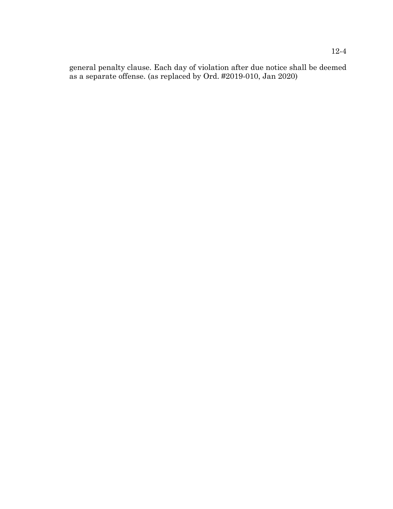general penalty clause. Each day of violation after due notice shall be deemed as a separate offense. (as replaced by Ord. #2019-010, Jan 2020)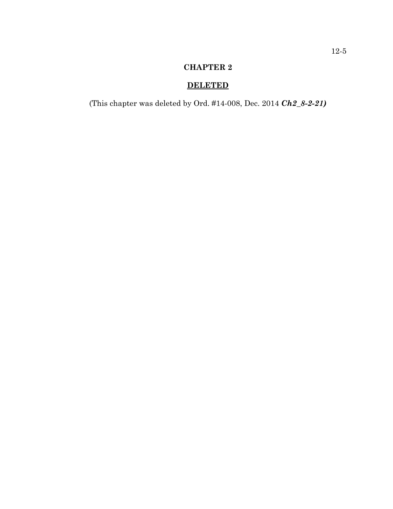## **CHAPTER 2**

# **DELETED**

(This chapter was deleted by Ord. #14-008, Dec. 2014 *Ch2\_8-2-21)*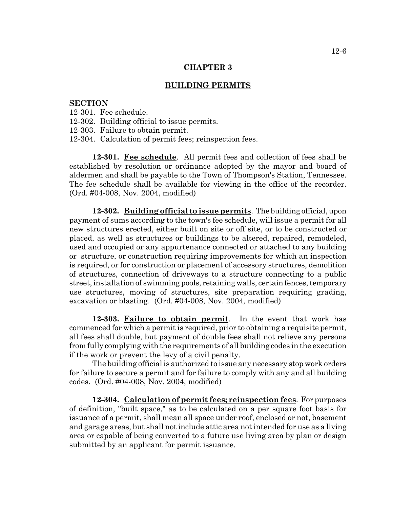#### **CHAPTER 3**

#### **BUILDING PERMITS**

#### **SECTION**

- 12-301. Fee schedule.
- 12-302. Building official to issue permits.
- 12-303. Failure to obtain permit.
- 12-304. Calculation of permit fees; reinspection fees.

**12-301. Fee schedule**. All permit fees and collection of fees shall be established by resolution or ordinance adopted by the mayor and board of aldermen and shall be payable to the Town of Thompson's Station, Tennessee. The fee schedule shall be available for viewing in the office of the recorder. (Ord. #04-008, Nov. 2004, modified)

**12-302. Building official to issue permits**. The building official, upon payment of sums according to the town's fee schedule, will issue a permit for all new structures erected, either built on site or off site, or to be constructed or placed, as well as structures or buildings to be altered, repaired, remodeled, used and occupied or any appurtenance connected or attached to any building or structure, or construction requiring improvements for which an inspection is required, or for construction or placement of accessory structures, demolition of structures, connection of driveways to a structure connecting to a public street, installation of swimming pools, retaining walls, certain fences, temporary use structures, moving of structures, site preparation requiring grading, excavation or blasting. (Ord. #04-008, Nov. 2004, modified)

**12-303. Failure to obtain permit**. In the event that work has commenced for which a permit is required, prior to obtaining a requisite permit, all fees shall double, but payment of double fees shall not relieve any persons from fully complying with the requirements of all building codes in the execution if the work or prevent the levy of a civil penalty.

The building official is authorized to issue any necessary stop work orders for failure to secure a permit and for failure to comply with any and all building codes. (Ord. #04-008, Nov. 2004, modified)

**12-304. Calculation of permit fees; reinspection fees**. For purposes of definition, "built space," as to be calculated on a per square foot basis for issuance of a permit, shall mean all space under roof, enclosed or not, basement and garage areas, but shall not include attic area not intended for use as a living area or capable of being converted to a future use living area by plan or design submitted by an applicant for permit issuance.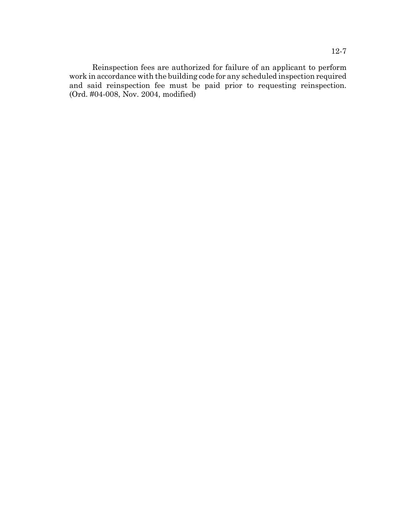Reinspection fees are authorized for failure of an applicant to perform work in accordance with the building code for any scheduled inspection required and said reinspection fee must be paid prior to requesting reinspection. (Ord. #04-008, Nov. 2004, modified)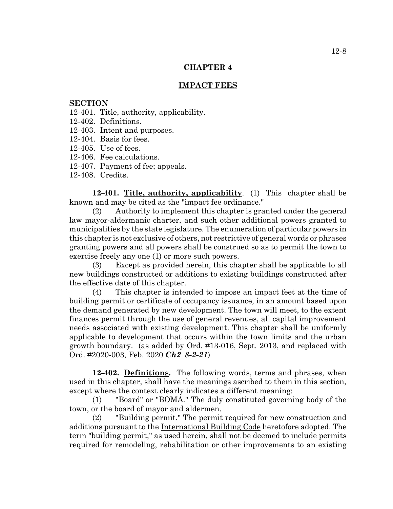#### **CHAPTER 4**

#### **IMPACT FEES**

#### **SECTION**

- 12-401. Title, authority, applicability.
- 12-402. Definitions.
- 12-403. Intent and purposes.
- 12-404. Basis for fees.
- 12-405. Use of fees.
- 12-406. Fee calculations.
- 12-407. Payment of fee; appeals.
- 12-408. Credits.

**12-401. Title, authority, applicability**. (1) This chapter shall be known and may be cited as the "impact fee ordinance."

(2) Authority to implement this chapter is granted under the general law mayor-aldermanic charter, and such other additional powers granted to municipalities by the state legislature. The enumeration of particular powers in this chapter is not exclusive of others, not restrictive of general words or phrases granting powers and all powers shall be construed so as to permit the town to exercise freely any one (1) or more such powers.

(3) Except as provided herein, this chapter shall be applicable to all new buildings constructed or additions to existing buildings constructed after the effective date of this chapter.

(4) This chapter is intended to impose an impact feet at the time of building permit or certificate of occupancy issuance, in an amount based upon the demand generated by new development. The town will meet, to the extent finances permit through the use of general revenues, all capital improvement needs associated with existing development. This chapter shall be uniformly applicable to development that occurs within the town limits and the urban growth boundary. (as added by Ord. #13-016, Sept. 2013, and replaced with Ord. #2020-003, Feb. 2020 *Ch2\_8-2-21*)

**12-402. Definitions.** The following words, terms and phrases, when used in this chapter, shall have the meanings ascribed to them in this section, except where the context clearly indicates a different meaning:

(1) "Board" or "BOMA." The duly constituted governing body of the town, or the board of mayor and aldermen.

(2) "Building permit." The permit required for new construction and additions pursuant to the International Building Code heretofore adopted. The term "building permit," as used herein, shall not be deemed to include permits required for remodeling, rehabilitation or other improvements to an existing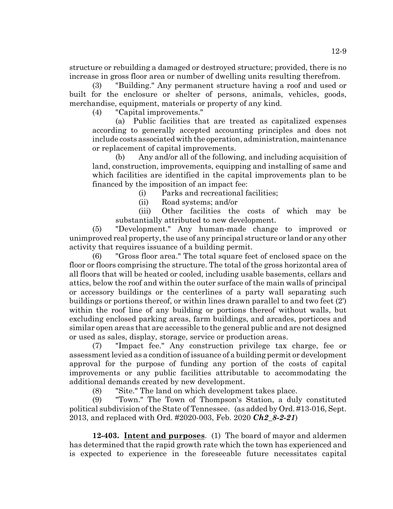structure or rebuilding a damaged or destroyed structure; provided, there is no increase in gross floor area or number of dwelling units resulting therefrom.

(3) "Building." Any permanent structure having a roof and used or built for the enclosure or shelter of persons, animals, vehicles, goods, merchandise, equipment, materials or property of any kind.

(4) "Capital improvements."

(a) Public facilities that are treated as capitalized expenses according to generally accepted accounting principles and does not include costs associated with the operation, administration, maintenance or replacement of capital improvements.

(b) Any and/or all of the following, and including acquisition of land, construction, improvements, equipping and installing of same and which facilities are identified in the capital improvements plan to be financed by the imposition of an impact fee:

(i) Parks and recreational facilities;

(ii) Road systems; and/or

(iii) Other facilities the costs of which may be substantially attributed to new development.

(5) "Development." Any human-made change to improved or unimproved real property, the use of any principal structure or land or any other activity that requires issuance of a building permit.

(6) "Gross floor area." The total square feet of enclosed space on the floor or floors comprising the structure. The total of the gross horizontal area of all floors that will be heated or cooled, including usable basements, cellars and attics, below the roof and within the outer surface of the main walls of principal or accessory buildings or the centerlines of a party wall separating such buildings or portions thereof, or within lines drawn parallel to and two feet (2') within the roof line of any building or portions thereof without walls, but excluding enclosed parking areas, farm buildings, and arcades, porticoes and similar open areas that are accessible to the general public and are not designed or used as sales, display, storage, service or production areas.

(7) "Impact fee." Any construction privilege tax charge, fee or assessment levied as a condition of issuance of a building permit or development approval for the purpose of funding any portion of the costs of capital improvements or any public facilities attributable to accommodating the additional demands created by new development.

(8) "Site." The land on which development takes place.

(9) "Town." The Town of Thompson's Station, a duly constituted political subdivision of the State of Tennessee. (as added by Ord. #13-016, Sept. 2013, and replaced with Ord. #2020-003, Feb. 2020 *Ch2\_8-2-21*)

**12-403. Intent and purposes**. (1) The board of mayor and aldermen has determined that the rapid growth rate which the town has experienced and is expected to experience in the foreseeable future necessitates capital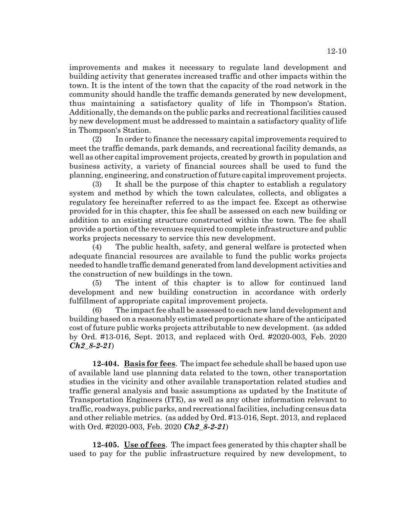improvements and makes it necessary to regulate land development and building activity that generates increased traffic and other impacts within the town. It is the intent of the town that the capacity of the road network in the community should handle the traffic demands generated by new development, thus maintaining a satisfactory quality of life in Thompson's Station. Additionally, the demands on the public parks and recreational facilities caused by new development must be addressed to maintain a satisfactory quality of life in Thompson's Station.

(2) In order to finance the necessary capital improvements required to meet the traffic demands, park demands, and recreational facility demands, as well as other capital improvement projects, created by growth in population and business activity, a variety of financial sources shall be used to fund the planning, engineering, and construction of future capital improvement projects.

(3) It shall be the purpose of this chapter to establish a regulatory system and method by which the town calculates, collects, and obligates a regulatory fee hereinafter referred to as the impact fee. Except as otherwise provided for in this chapter, this fee shall be assessed on each new building or addition to an existing structure constructed within the town. The fee shall provide a portion of the revenues required to complete infrastructure and public works projects necessary to service this new development.

(4) The public health, safety, and general welfare is protected when adequate financial resources are available to fund the public works projects needed to handle traffic demand generated from land development activities and the construction of new buildings in the town.

(5) The intent of this chapter is to allow for continued land development and new building construction in accordance with orderly fulfillment of appropriate capital improvement projects.

(6) The impact fee shall be assessed to each new land development and building based on a reasonably estimated proportionate share of the anticipated cost of future public works projects attributable to new development. (as added by Ord. #13-016, Sept. 2013, and replaced with Ord. #2020-003, Feb. 2020 *Ch2\_8-2-21*)

**12-404. Basis for fees**. The impact fee schedule shall be based upon use of available land use planning data related to the town, other transportation studies in the vicinity and other available transportation related studies and traffic general analysis and basic assumptions as updated by the Institute of Transportation Engineers (ITE), as well as any other information relevant to traffic, roadways, public parks, and recreational facilities, including census data and other reliable metrics. (as added by Ord. #13-016, Sept. 2013, and replaced with Ord. #2020-003, Feb. 2020 *Ch2\_8-2-21*)

**12-405. Use of fees**. The impact fees generated by this chapter shall be used to pay for the public infrastructure required by new development, to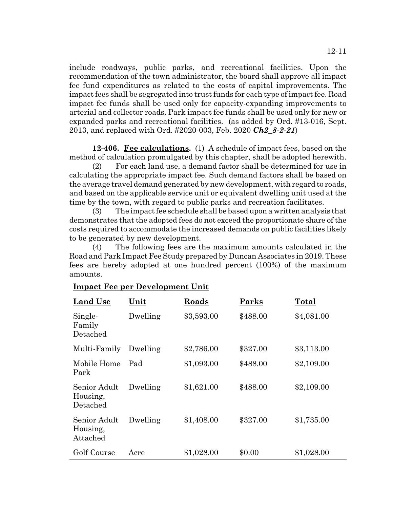include roadways, public parks, and recreational facilities. Upon the recommendation of the town administrator, the board shall approve all impact fee fund expenditures as related to the costs of capital improvements. The impact fees shall be segregated into trust funds for each type of impact fee. Road impact fee funds shall be used only for capacity-expanding improvements to arterial and collector roads. Park impact fee funds shall be used only for new or expanded parks and recreational facilities. (as added by Ord. #13-016, Sept. 2013, and replaced with Ord. #2020-003, Feb. 2020 *Ch2\_8-2-21*)

**12-406. Fee calculations.** (1) A schedule of impact fees, based on the method of calculation promulgated by this chapter, shall be adopted herewith.

(2) For each land use, a demand factor shall be determined for use in calculating the appropriate impact fee. Such demand factors shall be based on the average travel demand generated by new development, with regard to roads, and based on the applicable service unit or equivalent dwelling unit used at the time by the town, with regard to public parks and recreation facilitates.

(3) The impact fee schedule shall be based upon a written analysis that demonstrates that the adopted fees do not exceed the proportionate share of the costs required to accommodate the increased demands on public facilities likely to be generated by new development.

(4) The following fees are the maximum amounts calculated in the Road and Park Impact Fee Study prepared by Duncan Associates in 2019. These fees are hereby adopted at one hundred percent (100%) of the maximum amounts.

| <b>Land Use</b>                      | Unit     | Roads      | Parks    | Total      |
|--------------------------------------|----------|------------|----------|------------|
| Single-<br>Family<br>Detached        | Dwelling | \$3,593.00 | \$488.00 | \$4,081.00 |
| Multi-Family                         | Dwelling | \$2,786.00 | \$327.00 | \$3,113.00 |
| Mobile Home<br>Park                  | Pad      | \$1,093.00 | \$488.00 | \$2,109.00 |
| Senior Adult<br>Housing,<br>Detached | Dwelling | \$1,621.00 | \$488.00 | \$2,109.00 |
| Senior Adult<br>Housing,<br>Attached | Dwelling | \$1,408.00 | \$327.00 | \$1,735.00 |
| Golf Course                          | Acre     | \$1,028.00 | \$0.00   | \$1,028.00 |

### **Impact Fee per Development Unit**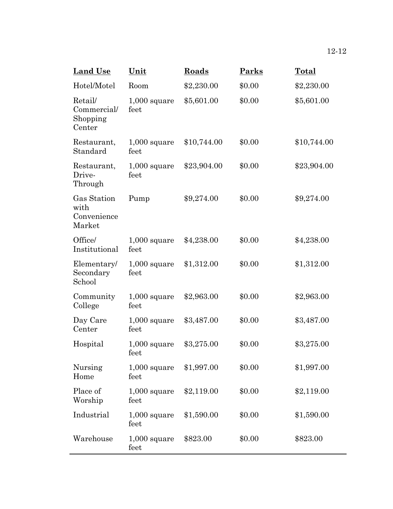| <b>Land Use</b>                              | Unit                      | Roads       | Parks  | Total       |
|----------------------------------------------|---------------------------|-------------|--------|-------------|
| Hotel/Motel                                  | Room                      | \$2,230.00  | \$0.00 | \$2,230.00  |
| Retail/<br>Commercial/<br>Shopping<br>Center | $1,000$ square<br>feet    | \$5,601.00  | \$0.00 | \$5,601.00  |
| Restaurant,<br>Standard                      | $1,000$ square<br>feet    | \$10,744.00 | \$0.00 | \$10,744.00 |
| Restaurant,<br>Drive-<br>Through             | $1,000$ square<br>feet    | \$23,904.00 | \$0.00 | \$23,904.00 |
| Gas Station<br>with<br>Convenience<br>Market | Pump                      | \$9,274.00  | \$0.00 | \$9,274.00  |
| Office/<br>Institutional                     | $1,000$ square<br>feet    | \$4,238.00  | \$0.00 | \$4,238.00  |
| Elementary/<br>Secondary<br>School           | $1,000$ square<br>feet    | \$1,312.00  | \$0.00 | \$1,312.00  |
| Community<br>College                         | $1,000$ square<br>feet    | \$2,963.00  | \$0.00 | \$2,963.00  |
| Day Care<br>Center                           | $1,000$ square<br>feet    | \$3,487.00  | \$0.00 | \$3,487.00  |
| Hospital                                     | $1,000$ square<br>$f$ eet | \$3,275.00  | \$0.00 | \$3,275.00  |
| Nursing<br>Home                              | $1,000$ square<br>feet    | \$1,997.00  | \$0.00 | \$1,997.00  |
| Place of<br>Worship                          | $1,000$ square<br>feet    | \$2,119.00  | \$0.00 | \$2,119.00  |
| Industrial                                   | $1,000$ square<br>feet    | \$1,590.00  | \$0.00 | \$1,590.00  |
| Warehouse                                    | $1,000$ square<br>feet    | \$823.00    | \$0.00 | \$823.00    |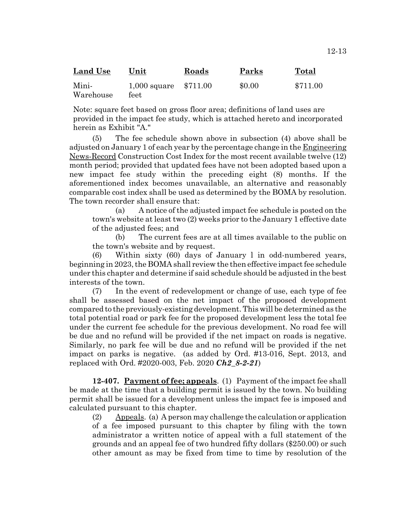| <b>Land Use</b>    | Unit                          | Roads | Parks  | Total    |
|--------------------|-------------------------------|-------|--------|----------|
| Mini-<br>Warehouse | 1,000 square \$711.00<br>feet |       | \$0.00 | \$711.00 |

Note: square feet based on gross floor area; definitions of land uses are provided in the impact fee study, which is attached hereto and incorporated herein as Exhibit "A."

(5) The fee schedule shown above in subsection (4) above shall be adjusted on January 1 of each year by the percentage change in the Engineering News-Record Construction Cost Index for the most recent available twelve (12) month period; provided that updated fees have not been adopted based upon a new impact fee study within the preceding eight (8) months. If the aforementioned index becomes unavailable, an alternative and reasonably comparable cost index shall be used as determined by the BOMA by resolution. The town recorder shall ensure that:

(a) A notice of the adjusted impact fee schedule is posted on the town's website at least two (2) weeks prior to the January 1 effective date of the adjusted fees; and

(b) The current fees are at all times available to the public on the town's website and by request.

(6) Within sixty (60) days of January l in odd-numbered years, beginning in 2023, the BOMA shall review the then effective impact fee schedule under this chapter and determine if said schedule should be adjusted in the best interests of the town.

(7) In the event of redevelopment or change of use, each type of fee shall be assessed based on the net impact of the proposed development compared to the previously-existing development. This will be determined as the total potential road or park fee for the proposed development less the total fee under the current fee schedule for the previous development. No road fee will be due and no refund will be provided if the net impact on roads is negative. Similarly, no park fee will be due and no refund will be provided if the net impact on parks is negative. (as added by Ord. #13-016, Sept. 2013, and replaced with Ord. #2020-003, Feb. 2020 *Ch2\_8-2-21*)

**12-407. Payment of fee; appeals**. (1) Payment of the impact fee shall be made at the time that a building permit is issued by the town. No building permit shall be issued for a development unless the impact fee is imposed and calculated pursuant to this chapter.

(2) Appeals. (a) A person may challenge the calculation or application of a fee imposed pursuant to this chapter by filing with the town administrator a written notice of appeal with a full statement of the grounds and an appeal fee of two hundred fifty dollars (\$250.00) or such other amount as may be fixed from time to time by resolution of the